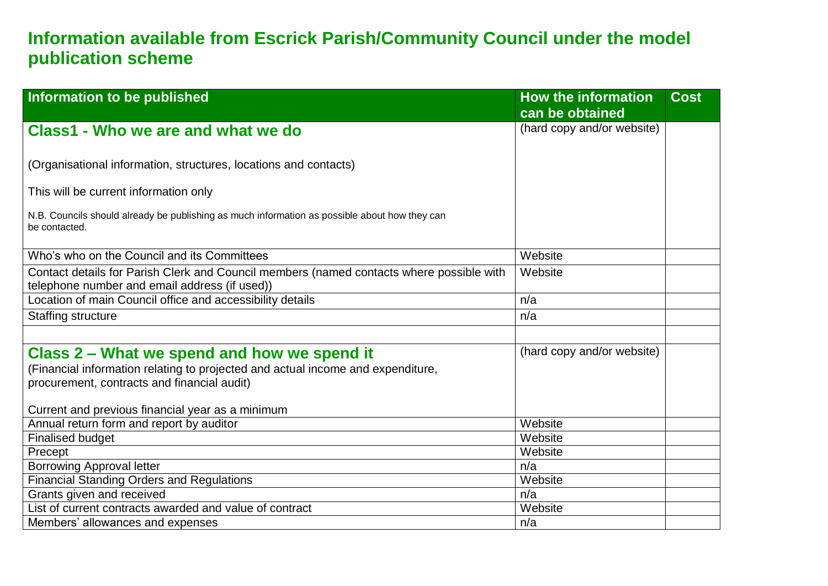## **Information available from Escrick Parish/Community Council under the model publication scheme**

| Information to be published                                                                                                                                                   | <b>How the information</b> | <b>Cost</b> |
|-------------------------------------------------------------------------------------------------------------------------------------------------------------------------------|----------------------------|-------------|
|                                                                                                                                                                               | can be obtained            |             |
| Class1 - Who we are and what we do                                                                                                                                            | (hard copy and/or website) |             |
| (Organisational information, structures, locations and contacts)                                                                                                              |                            |             |
| This will be current information only                                                                                                                                         |                            |             |
| N.B. Councils should already be publishing as much information as possible about how they can<br>be contacted.                                                                |                            |             |
| Who's who on the Council and its Committees                                                                                                                                   | Website                    |             |
| Contact details for Parish Clerk and Council members (named contacts where possible with<br>telephone number and email address (if used))                                     | Website                    |             |
| Location of main Council office and accessibility details                                                                                                                     | n/a                        |             |
| <b>Staffing structure</b>                                                                                                                                                     | n/a                        |             |
|                                                                                                                                                                               |                            |             |
| Class 2 – What we spend and how we spend it<br>(Financial information relating to projected and actual income and expenditure,<br>procurement, contracts and financial audit) | (hard copy and/or website) |             |
| Current and previous financial year as a minimum                                                                                                                              |                            |             |
| Annual return form and report by auditor                                                                                                                                      | Website                    |             |
| <b>Finalised budget</b>                                                                                                                                                       | Website                    |             |
| Precept                                                                                                                                                                       | Website                    |             |
| <b>Borrowing Approval letter</b>                                                                                                                                              | n/a                        |             |
| <b>Financial Standing Orders and Regulations</b>                                                                                                                              | Website                    |             |
| Grants given and received                                                                                                                                                     | n/a                        |             |
| List of current contracts awarded and value of contract                                                                                                                       | Website                    |             |
| Members' allowances and expenses                                                                                                                                              | n/a                        |             |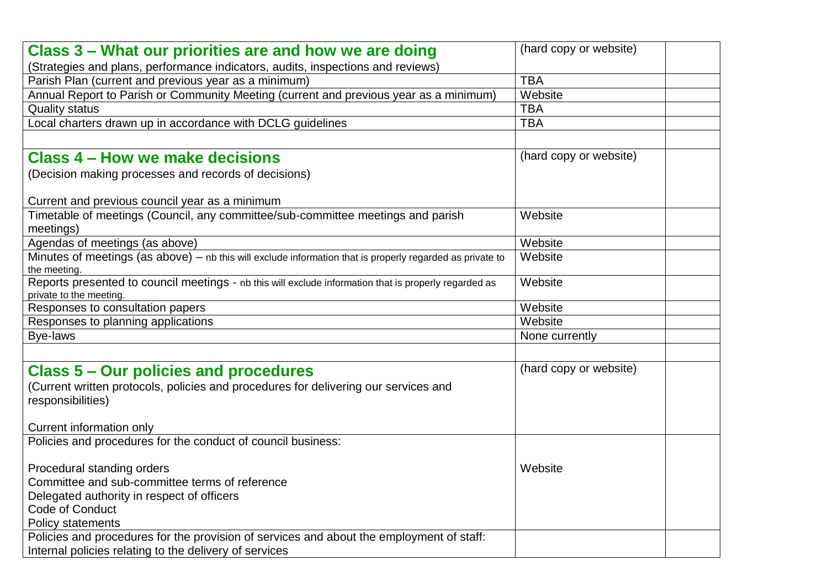| Class 3 – What our priorities are and how we are doing                                                                           | (hard copy or website) |
|----------------------------------------------------------------------------------------------------------------------------------|------------------------|
| (Strategies and plans, performance indicators, audits, inspections and reviews)                                                  |                        |
| Parish Plan (current and previous year as a minimum)                                                                             | <b>TBA</b>             |
| Annual Report to Parish or Community Meeting (current and previous year as a minimum)                                            | Website                |
| <b>Quality status</b>                                                                                                            | <b>TBA</b>             |
| Local charters drawn up in accordance with DCLG guidelines                                                                       | <b>TBA</b>             |
|                                                                                                                                  |                        |
| <b>Class 4 – How we make decisions</b>                                                                                           | (hard copy or website) |
| (Decision making processes and records of decisions)                                                                             |                        |
| Current and previous council year as a minimum                                                                                   |                        |
| Timetable of meetings (Council, any committee/sub-committee meetings and parish<br>meetings)                                     | Website                |
| Agendas of meetings (as above)                                                                                                   | Website                |
| Minutes of meetings (as above) - nb this will exclude information that is properly regarded as private to<br>the meeting.        | Website                |
| Reports presented to council meetings - nb this will exclude information that is properly regarded as<br>private to the meeting. | Website                |
| Responses to consultation papers                                                                                                 | Website                |
| Responses to planning applications                                                                                               | Website                |
| Bye-laws                                                                                                                         | None currently         |
|                                                                                                                                  |                        |
| <b>Class 5 - Our policies and procedures</b>                                                                                     | (hard copy or website) |
| (Current written protocols, policies and procedures for delivering our services and<br>responsibilities)                         |                        |
| Current information only                                                                                                         |                        |
| Policies and procedures for the conduct of council business:                                                                     |                        |
| Procedural standing orders                                                                                                       | Website                |
| Committee and sub-committee terms of reference                                                                                   |                        |
| Delegated authority in respect of officers                                                                                       |                        |
| Code of Conduct                                                                                                                  |                        |
| Policy statements                                                                                                                |                        |
| Policies and procedures for the provision of services and about the employment of staff:                                         |                        |
| Internal policies relating to the delivery of services                                                                           |                        |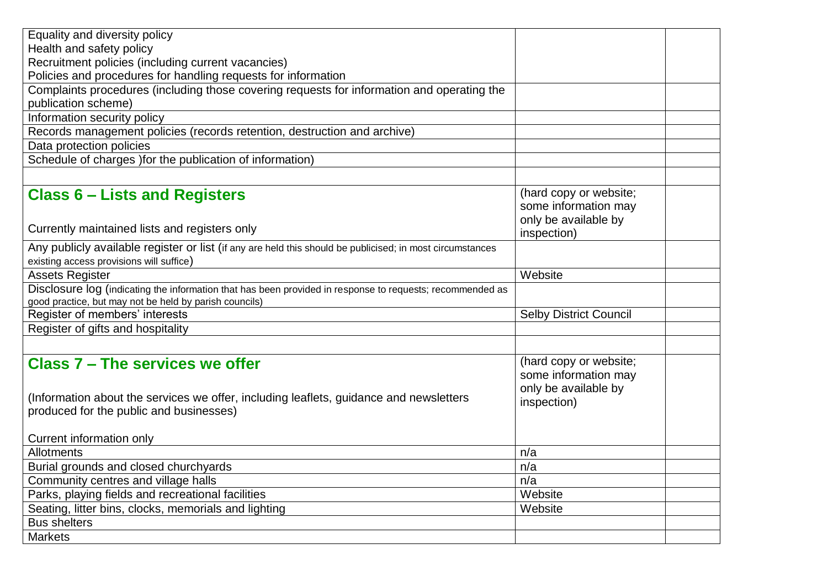| Equality and diversity policy                                                                             |                               |  |
|-----------------------------------------------------------------------------------------------------------|-------------------------------|--|
| Health and safety policy                                                                                  |                               |  |
| Recruitment policies (including current vacancies)                                                        |                               |  |
| Policies and procedures for handling requests for information                                             |                               |  |
| Complaints procedures (including those covering requests for information and operating the                |                               |  |
| publication scheme)                                                                                       |                               |  |
| Information security policy                                                                               |                               |  |
| Records management policies (records retention, destruction and archive)                                  |                               |  |
| Data protection policies                                                                                  |                               |  |
| Schedule of charges ) for the publication of information)                                                 |                               |  |
|                                                                                                           |                               |  |
| <b>Class 6 – Lists and Registers</b>                                                                      | (hard copy or website;        |  |
|                                                                                                           | some information may          |  |
|                                                                                                           | only be available by          |  |
| Currently maintained lists and registers only                                                             | inspection)                   |  |
| Any publicly available register or list (if any are held this should be publicised; in most circumstances |                               |  |
| existing access provisions will suffice)                                                                  |                               |  |
| <b>Assets Register</b>                                                                                    | Website                       |  |
| Disclosure log (indicating the information that has been provided in response to requests; recommended as |                               |  |
| good practice, but may not be held by parish councils)                                                    |                               |  |
| Register of members' interests                                                                            | <b>Selby District Council</b> |  |
| Register of gifts and hospitality                                                                         |                               |  |
|                                                                                                           |                               |  |
| <b>Class 7 - The services we offer</b>                                                                    | (hard copy or website;        |  |
|                                                                                                           | some information may          |  |
|                                                                                                           | only be available by          |  |
| (Information about the services we offer, including leaflets, guidance and newsletters                    | inspection)                   |  |
| produced for the public and businesses)                                                                   |                               |  |
|                                                                                                           |                               |  |
| <b>Current information only</b>                                                                           |                               |  |
| Allotments                                                                                                | n/a                           |  |
| Burial grounds and closed churchyards                                                                     | n/a                           |  |
| Community centres and village halls                                                                       | n/a                           |  |
| Parks, playing fields and recreational facilities                                                         | Website                       |  |
| Seating, litter bins, clocks, memorials and lighting                                                      | Website                       |  |
| <b>Bus shelters</b>                                                                                       |                               |  |
| <b>Markets</b>                                                                                            |                               |  |